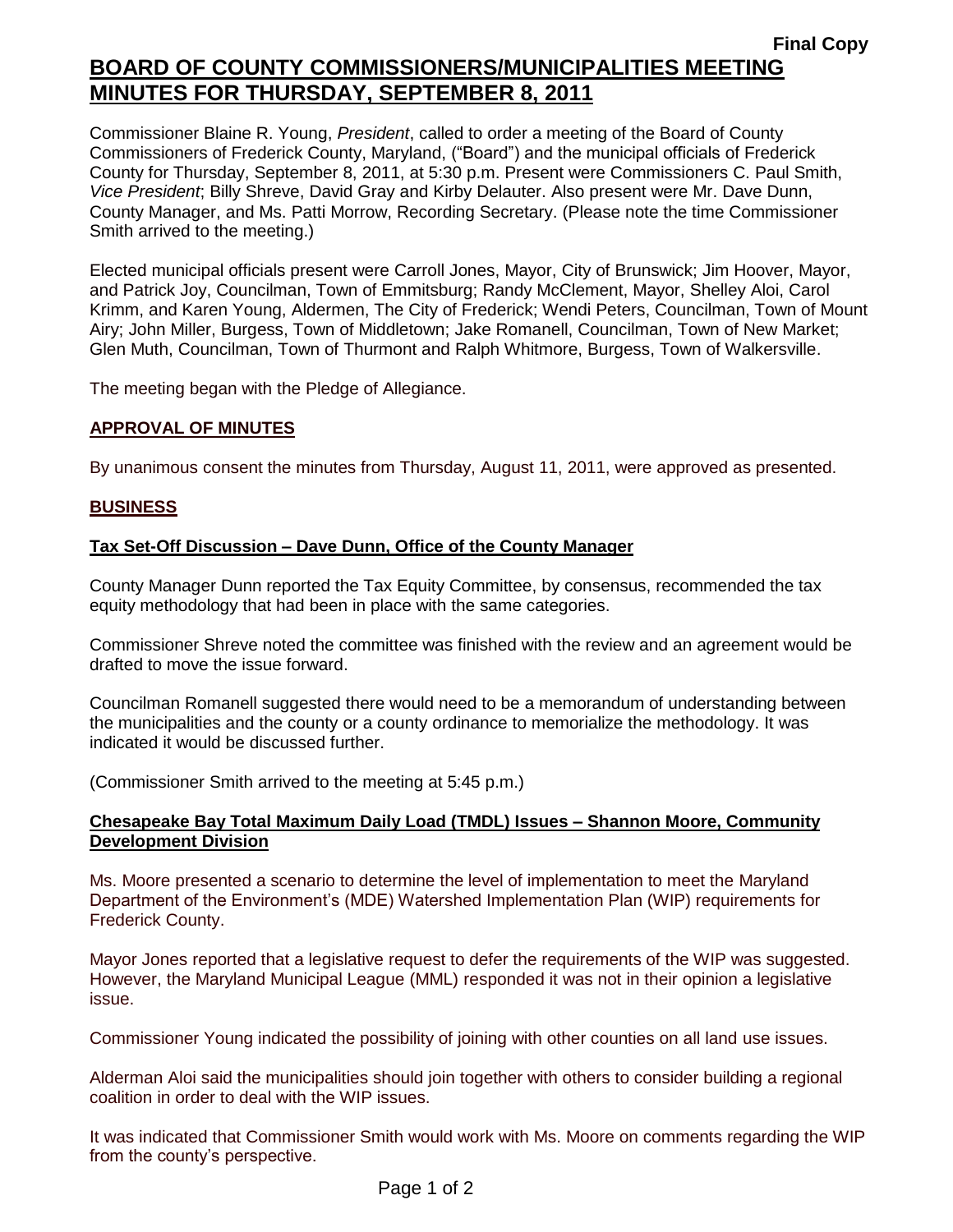Commissioner Blaine R. Young, *President*, called to order a meeting of the Board of County Commissioners of Frederick County, Maryland, ("Board") and the municipal officials of Frederick County for Thursday, September 8, 2011, at 5:30 p.m. Present were Commissioners C. Paul Smith, *Vice President*; Billy Shreve, David Gray and Kirby Delauter. Also present were Mr. Dave Dunn, County Manager, and Ms. Patti Morrow, Recording Secretary. (Please note the time Commissioner Smith arrived to the meeting.)

Elected municipal officials present were Carroll Jones, Mayor, City of Brunswick; Jim Hoover, Mayor, and Patrick Joy, Councilman, Town of Emmitsburg; Randy McClement, Mayor, Shelley Aloi, Carol Krimm, and Karen Young, Aldermen, The City of Frederick; Wendi Peters, Councilman, Town of Mount Airy; John Miller, Burgess, Town of Middletown; Jake Romanell, Councilman, Town of New Market; Glen Muth, Councilman, Town of Thurmont and Ralph Whitmore, Burgess, Town of Walkersville.

The meeting began with the Pledge of Allegiance.

## *1BU***APPROVAL OF MINUTES**

By unanimous consent the minutes from Thursday, August 11, 2011, were approved as presented.

#### *2BU***BUSINESS**

## **Tax Set-Off Discussion – Dave Dunn, Office of the County Manager**

County Manager Dunn reported the Tax Equity Committee, by consensus, recommended the tax equity methodology that had been in place with the same categories.

Commissioner Shreve noted the committee was finished with the review and an agreement would be drafted to move the issue forward.

Councilman Romanell suggested there would need to be a memorandum of understanding between the municipalities and the county or a county ordinance to memorialize the methodology. It was indicated it would be discussed further.

(Commissioner Smith arrived to the meeting at 5:45 p.m.)

#### **Chesapeake Bay Total Maximum Daily Load (TMDL) Issues – Shannon Moore, Community Development Division**

Ms. Moore presented a scenario to determine the level of implementation to meet the Maryland Department of the Environment's (MDE) Watershed Implementation Plan (WIP) requirements for Frederick County.

Mayor Jones reported that a legislative request to defer the requirements of the WIP was suggested. However, the Maryland Municipal League (MML) responded it was not in their opinion a legislative issue.

Commissioner Young indicated the possibility of joining with other counties on all land use issues.

Alderman Aloi said the municipalities should join together with others to consider building a regional coalition in order to deal with the WIP issues.

It was indicated that Commissioner Smith would work with Ms. Moore on comments regarding the WIP from the county's perspective.